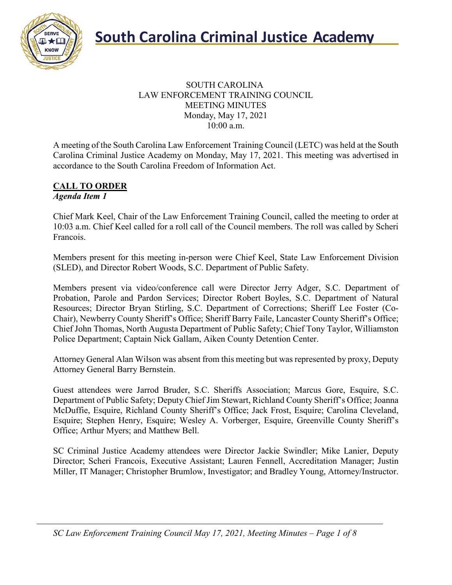

### SOUTH CAROLINA LAW ENFORCEMENT TRAINING COUNCIL MEETING MINUTES Monday, May 17, 2021 10:00 a.m.

A meeting of the South Carolina Law Enforcement Training Council (LETC) was held at the South Carolina Criminal Justice Academy on Monday, May 17, 2021. This meeting was advertised in accordance to the South Carolina Freedom of Information Act.

#### **CALL TO ORDER** *Agenda Item 1*

Chief Mark Keel, Chair of the Law Enforcement Training Council, called the meeting to order at 10:03 a.m. Chief Keel called for a roll call of the Council members. The roll was called by Scheri Francois.

Members present for this meeting in-person were Chief Keel, State Law Enforcement Division (SLED), and Director Robert Woods, S.C. Department of Public Safety.

Members present via video/conference call were Director Jerry Adger, S.C. Department of Probation, Parole and Pardon Services; Director Robert Boyles, S.C. Department of Natural Resources; Director Bryan Stirling, S.C. Department of Corrections; Sheriff Lee Foster (Co-Chair), Newberry County Sheriff's Office; Sheriff Barry Faile, Lancaster County Sheriff's Office; Chief John Thomas, North Augusta Department of Public Safety; Chief Tony Taylor, Williamston Police Department; Captain Nick Gallam, Aiken County Detention Center.

Attorney General Alan Wilson was absent from this meeting but was represented by proxy, Deputy Attorney General Barry Bernstein.

Guest attendees were Jarrod Bruder, S.C. Sheriffs Association; Marcus Gore, Esquire, S.C. Department of Public Safety; Deputy Chief Jim Stewart, Richland County Sheriff's Office; Joanna McDuffie, Esquire, Richland County Sheriff's Office; Jack Frost, Esquire; Carolina Cleveland, Esquire; Stephen Henry, Esquire; Wesley A. Vorberger, Esquire, Greenville County Sheriff's Office; Arthur Myers; and Matthew Bell.

SC Criminal Justice Academy attendees were Director Jackie Swindler; Mike Lanier, Deputy Director; Scheri Francois, Executive Assistant; Lauren Fennell, Accreditation Manager; Justin Miller, IT Manager; Christopher Brumlow, Investigator; and Bradley Young, Attorney/Instructor.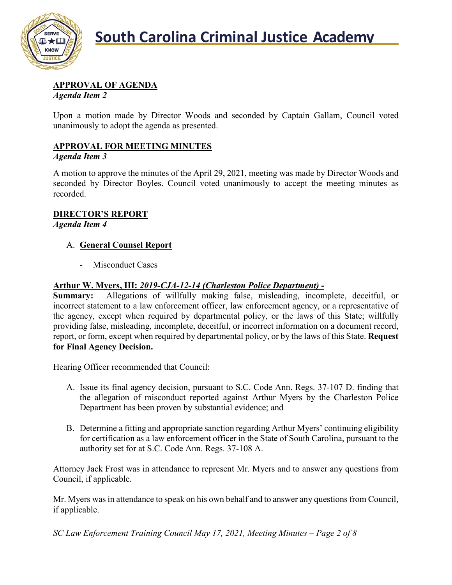

# **APPROVAL OF AGENDA**

*Agenda Item 2*

Upon a motion made by Director Woods and seconded by Captain Gallam, Council voted unanimously to adopt the agenda as presented.

# **APPROVAL FOR MEETING MINUTES**

### *Agenda Item 3*

A motion to approve the minutes of the April 29, 2021, meeting was made by Director Woods and seconded by Director Boyles. Council voted unanimously to accept the meeting minutes as recorded.

# **DIRECTOR'S REPORT**

*Agenda Item 4*

### A. **General Counsel Report**

Misconduct Cases

# **Arthur W. Myers, III:** *2019-CJA-12-14 (Charleston Police Department)* **-**

**Summary:** Allegations of willfully making false, misleading, incomplete, deceitful, or incorrect statement to a law enforcement officer, law enforcement agency, or a representative of the agency, except when required by departmental policy, or the laws of this State; willfully providing false, misleading, incomplete, deceitful, or incorrect information on a document record, report, or form, except when required by departmental policy, or by the laws of this State. **Request for Final Agency Decision.**

Hearing Officer recommended that Council:

- A. Issue its final agency decision, pursuant to S.C. Code Ann. Regs. 37-107 D. finding that the allegation of misconduct reported against Arthur Myers by the Charleston Police Department has been proven by substantial evidence; and
- B. Determine a fitting and appropriate sanction regarding Arthur Myers' continuing eligibility for certification as a law enforcement officer in the State of South Carolina, pursuant to the authority set for at S.C. Code Ann. Regs. 37-108 A.

Attorney Jack Frost was in attendance to represent Mr. Myers and to answer any questions from Council, if applicable.

Mr. Myers was in attendance to speak on his own behalf and to answer any questions from Council, if applicable.

*SC Law Enforcement Training Council May 17, 2021, Meeting Minutes – Page 2 of 8*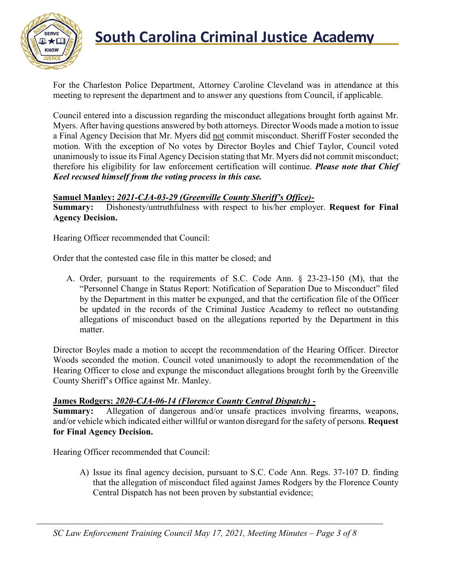

For the Charleston Police Department, Attorney Caroline Cleveland was in attendance at this meeting to represent the department and to answer any questions from Council, if applicable.

Council entered into a discussion regarding the misconduct allegations brought forth against Mr. Myers. After having questions answered by both attorneys. Director Woods made a motion to issue a Final Agency Decision that Mr. Myers did not commit misconduct. Sheriff Foster seconded the motion. With the exception of No votes by Director Boyles and Chief Taylor, Council voted unanimously to issue its Final Agency Decision stating that Mr. Myers did not commit misconduct; therefore his eligibility for law enforcement certification will continue. *Please note that Chief Keel recused himself from the voting process in this case.* 

### **Samuel Manley:** *2021-CJA-03-29 (Greenville County Sheriff's Office)***-**

**Summary:** Dishonesty/untruthfulness with respect to his/her employer. **Request for Final Agency Decision.**

Hearing Officer recommended that Council:

Order that the contested case file in this matter be closed; and

A. Order, pursuant to the requirements of S.C. Code Ann. § 23-23-150 (M), that the "Personnel Change in Status Report: Notification of Separation Due to Misconduct" filed by the Department in this matter be expunged, and that the certification file of the Officer be updated in the records of the Criminal Justice Academy to reflect no outstanding allegations of misconduct based on the allegations reported by the Department in this matter.

Director Boyles made a motion to accept the recommendation of the Hearing Officer. Director Woods seconded the motion. Council voted unanimously to adopt the recommendation of the Hearing Officer to close and expunge the misconduct allegations brought forth by the Greenville County Sheriff's Office against Mr. Manley.

### **James Rodgers:** *2020-CJA-06-14 (Florence County Central Dispatch) -*

**Summary:** Allegation of dangerous and/or unsafe practices involving firearms, weapons, and/or vehicle which indicated either willful or wanton disregard for the safety of persons. **Request for Final Agency Decision.**

Hearing Officer recommended that Council:

A) Issue its final agency decision, pursuant to S.C. Code Ann. Regs. 37-107 D. finding that the allegation of misconduct filed against James Rodgers by the Florence County Central Dispatch has not been proven by substantial evidence;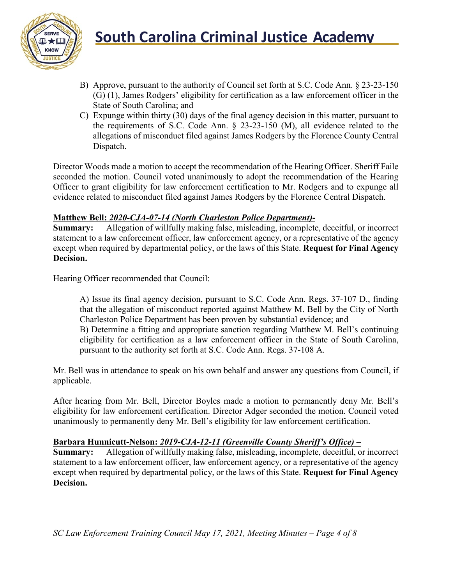

- B) Approve, pursuant to the authority of Council set forth at S.C. Code Ann. § 23-23-150 (G) (1), James Rodgers' eligibility for certification as a law enforcement officer in the State of South Carolina; and
- C) Expunge within thirty (30) days of the final agency decision in this matter, pursuant to the requirements of S.C. Code Ann. § 23-23-150 (M), all evidence related to the allegations of misconduct filed against James Rodgers by the Florence County Central Dispatch.

Director Woods made a motion to accept the recommendation of the Hearing Officer. Sheriff Faile seconded the motion. Council voted unanimously to adopt the recommendation of the Hearing Officer to grant eligibility for law enforcement certification to Mr. Rodgers and to expunge all evidence related to misconduct filed against James Rodgers by the Florence Central Dispatch.

### **Matthew Bell:** *2020-CJA-07-14 (North Charleston Police Department)***-**

**Summary:** Allegation of willfully making false, misleading, incomplete, deceitful, or incorrect statement to a law enforcement officer, law enforcement agency, or a representative of the agency except when required by departmental policy, or the laws of this State. **Request for Final Agency Decision.**

Hearing Officer recommended that Council:

A) Issue its final agency decision, pursuant to S.C. Code Ann. Regs. 37-107 D., finding that the allegation of misconduct reported against Matthew M. Bell by the City of North Charleston Police Department has been proven by substantial evidence; and B) Determine a fitting and appropriate sanction regarding Matthew M. Bell's continuing eligibility for certification as a law enforcement officer in the State of South Carolina, pursuant to the authority set forth at S.C. Code Ann. Regs. 37-108 A.

Mr. Bell was in attendance to speak on his own behalf and answer any questions from Council, if applicable.

After hearing from Mr. Bell, Director Boyles made a motion to permanently deny Mr. Bell's eligibility for law enforcement certification. Director Adger seconded the motion. Council voted unanimously to permanently deny Mr. Bell's eligibility for law enforcement certification.

### **Barbara Hunnicutt-Nelson:** *2019-CJA-12-11 (Greenville County Sheriff's Office)* **–**

**Summary:** Allegation of willfully making false, misleading, incomplete, deceitful, or incorrect statement to a law enforcement officer, law enforcement agency, or a representative of the agency except when required by departmental policy, or the laws of this State. **Request for Final Agency Decision.**

*SC Law Enforcement Training Council May 17, 2021, Meeting Minutes – Page 4 of 8*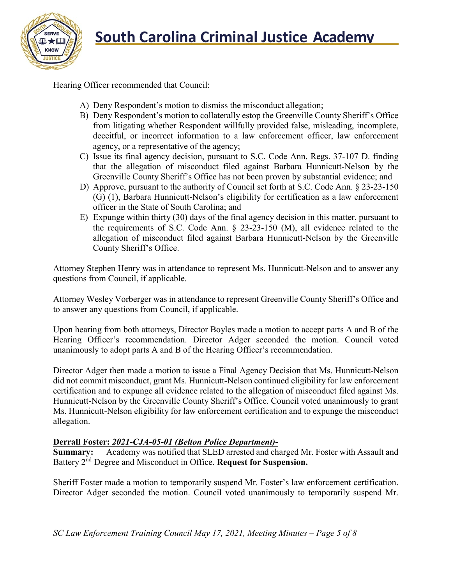

Hearing Officer recommended that Council:

- A) Deny Respondent's motion to dismiss the misconduct allegation;
- B) Deny Respondent's motion to collaterally estop the Greenville County Sheriff's Office from litigating whether Respondent willfully provided false, misleading, incomplete, deceitful, or incorrect information to a law enforcement officer, law enforcement agency, or a representative of the agency;
- C) Issue its final agency decision, pursuant to S.C. Code Ann. Regs. 37-107 D. finding that the allegation of misconduct filed against Barbara Hunnicutt-Nelson by the Greenville County Sheriff's Office has not been proven by substantial evidence; and
- D) Approve, pursuant to the authority of Council set forth at S.C. Code Ann. § 23-23-150 (G) (1), Barbara Hunnicutt-Nelson's eligibility for certification as a law enforcement officer in the State of South Carolina; and
- E) Expunge within thirty (30) days of the final agency decision in this matter, pursuant to the requirements of S.C. Code Ann. § 23-23-150 (M), all evidence related to the allegation of misconduct filed against Barbara Hunnicutt-Nelson by the Greenville County Sheriff's Office.

Attorney Stephen Henry was in attendance to represent Ms. Hunnicutt-Nelson and to answer any questions from Council, if applicable.

Attorney Wesley Vorberger was in attendance to represent Greenville County Sheriff's Office and to answer any questions from Council, if applicable.

Upon hearing from both attorneys, Director Boyles made a motion to accept parts A and B of the Hearing Officer's recommendation. Director Adger seconded the motion. Council voted unanimously to adopt parts A and B of the Hearing Officer's recommendation.

Director Adger then made a motion to issue a Final Agency Decision that Ms. Hunnicutt-Nelson did not commit misconduct, grant Ms. Hunnicutt-Nelson continued eligibility for law enforcement certification and to expunge all evidence related to the allegation of misconduct filed against Ms. Hunnicutt-Nelson by the Greenville County Sheriff's Office. Council voted unanimously to grant Ms. Hunnicutt-Nelson eligibility for law enforcement certification and to expunge the misconduct allegation.

### **Derrall Foster:** *2021-CJA-05-01 (Belton Police Department)***-**

**Summary:** Academy was notified that SLED arrested and charged Mr. Foster with Assault and Battery 2nd Degree and Misconduct in Office. **Request for Suspension.**

Sheriff Foster made a motion to temporarily suspend Mr. Foster's law enforcement certification. Director Adger seconded the motion. Council voted unanimously to temporarily suspend Mr.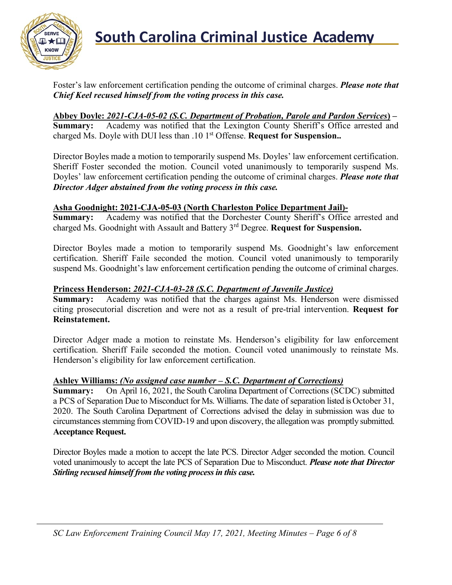

Foster's law enforcement certification pending the outcome of criminal charges. *Please note that Chief Keel recused himself from the voting process in this case.*

**Abbey Doyle:** *2021-CJA-05-02 (S.C. Department of Probation, Parole and Pardon Services***) – Summary:** Academy was notified that the Lexington County Sheriff's Office arrested and charged Ms. Doyle with DUI less than .10 1st Offense. **Request for Suspension..**

Director Boyles made a motion to temporarily suspend Ms. Doyles' law enforcement certification. Sheriff Foster seconded the motion. Council voted unanimously to temporarily suspend Ms. Doyles' law enforcement certification pending the outcome of criminal charges. *Please note that Director Adger abstained from the voting process in this case.*

### **Asha Goodnight: 2021-CJA-05-03 (North Charleston Police Department Jail)-**

**Summary:** Academy was notified that the Dorchester County Sheriff's Office arrested and charged Ms. Goodnight with Assault and Battery 3rd Degree. **Request for Suspension.**

Director Boyles made a motion to temporarily suspend Ms. Goodnight's law enforcement certification. Sheriff Faile seconded the motion. Council voted unanimously to temporarily suspend Ms. Goodnight's law enforcement certification pending the outcome of criminal charges.

### **Princess Henderson:** *2021-CJA-03-28 (S.C. Department of Juvenile Justice)*

**Summary:** Academy was notified that the charges against Ms. Henderson were dismissed citing prosecutorial discretion and were not as a result of pre-trial intervention. **Request for Reinstatement.**

Director Adger made a motion to reinstate Ms. Henderson's eligibility for law enforcement certification. Sheriff Faile seconded the motion. Council voted unanimously to reinstate Ms. Henderson's eligibility for law enforcement certification.

# **Ashley Williams:** *(No assigned case number – S.C. Department of Corrections)*

**Summary:** On April 16, 2021, the South Carolina Department of Corrections (SCDC) submitted a PCS of Separation Due to Misconduct for Ms. Williams. The date of separation listed is October 31, 2020. The South Carolina Department of Corrections advised the delay in submission was due to circumstances stemming from COVID-19 and upon discovery, the allegation was promptly submitted. **Acceptance Request.**

Director Boyles made a motion to accept the late PCS. Director Adger seconded the motion. Council voted unanimously to accept the late PCS of Separation Due to Misconduct. *Please note that Director Stirling recused himself from the voting process in this case.*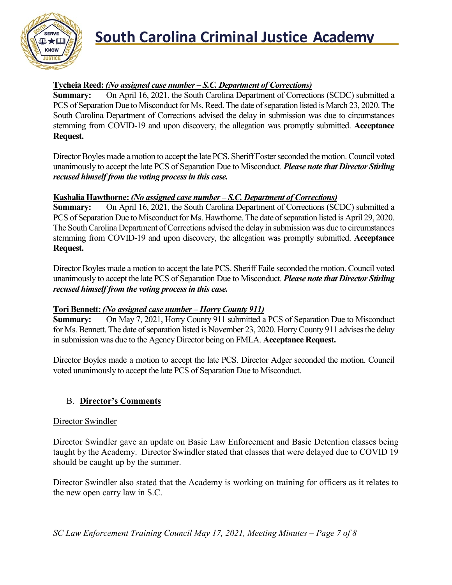

# **Tycheia Reed:** *(No assigned case number – S.C. Department of Corrections)*

**Summary:** On April 16, 2021, the South Carolina Department of Corrections (SCDC) submitted a PCS of Separation Due to Misconduct for Ms. Reed. The date of separation listed is March 23, 2020. The South Carolina Department of Corrections advised the delay in submission was due to circumstances stemming from COVID-19 and upon discovery, the allegation was promptly submitted. **Acceptance Request.**

Director Boyles made a motion to accept the late PCS. Sheriff Fosterseconded the motion. Council voted unanimously to accept the late PCS of Separation Due to Misconduct. *Please note that Director Stirling recused himself from the voting process in this case.*

# **Kashalia Hawthorne:** *(No assigned case number – S.C. Department of Corrections)*

**Summary:** On April 16, 2021, the South Carolina Department of Corrections (SCDC) submitted a PCS of Separation Due to Misconduct for Ms. Hawthorne. The date of separation listed is April 29, 2020. The South Carolina Department of Corrections advised the delay in submission was due to circumstances stemming from COVID-19 and upon discovery, the allegation was promptly submitted. **Acceptance Request.**

Director Boyles made a motion to accept the late PCS. Sheriff Faile seconded the motion. Council voted unanimously to accept the late PCS of Separation Due to Misconduct. *Please note that Director Stirling recused himself from the voting process in this case.*

### **Tori Bennett:** *(No assigned case number – Horry County 911)*

**Summary:** On May 7, 2021, Horry County 911 submitted a PCS of Separation Due to Misconduct for Ms. Bennett. The date of separation listed is November 23, 2020. Horry County 911 advises the delay in submission was due to the Agency Director being on FMLA. **Acceptance Request.**

Director Boyles made a motion to accept the late PCS. Director Adger seconded the motion. Council voted unanimously to accept the late PCS of Separation Due to Misconduct.

# B. **Director's Comments**

### Director Swindler

Director Swindler gave an update on Basic Law Enforcement and Basic Detention classes being taught by the Academy. Director Swindler stated that classes that were delayed due to COVID 19 should be caught up by the summer.

Director Swindler also stated that the Academy is working on training for officers as it relates to the new open carry law in S.C.

*SC Law Enforcement Training Council May 17, 2021, Meeting Minutes – Page 7 of 8*